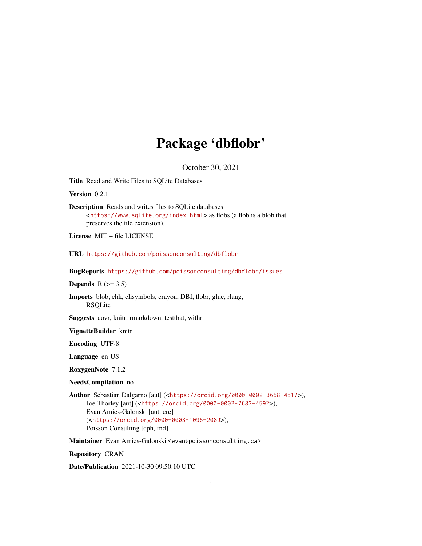## Package 'dbflobr'

October 30, 2021

<span id="page-0-0"></span>Title Read and Write Files to SQLite Databases

Version 0.2.1

Description Reads and writes files to SQLite databases <<https://www.sqlite.org/index.html>> as flobs (a flob is a blob that preserves the file extension).

License MIT + file LICENSE

URL <https://github.com/poissonconsulting/dbflobr>

BugReports <https://github.com/poissonconsulting/dbflobr/issues>

Depends  $R$  ( $>= 3.5$ )

Imports blob, chk, clisymbols, crayon, DBI, flobr, glue, rlang, RSQLite

Suggests covr, knitr, rmarkdown, testthat, withr

VignetteBuilder knitr

Encoding UTF-8

Language en-US

RoxygenNote 7.1.2

NeedsCompilation no

Author Sebastian Dalgarno [aut] (<<https://orcid.org/0000-0002-3658-4517>>), Joe Thorley [aut] (<<https://orcid.org/0000-0002-7683-4592>>), Evan Amies-Galonski [aut, cre] (<<https://orcid.org/0000-0003-1096-2089>>), Poisson Consulting [cph, fnd]

Maintainer Evan Amies-Galonski <evan@poissonconsulting.ca>

Repository CRAN

Date/Publication 2021-10-30 09:50:10 UTC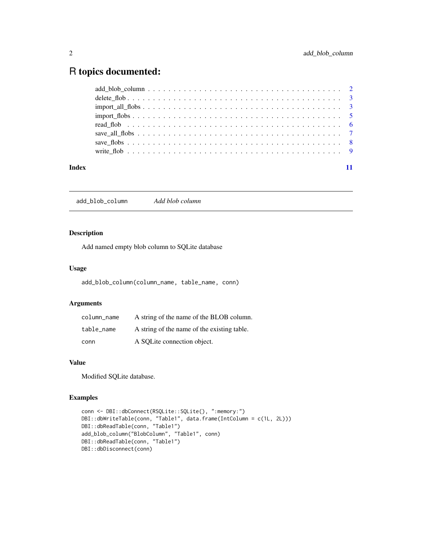### <span id="page-1-0"></span>R topics documented:

| Index |  |
|-------|--|

add\_blob\_column *Add blob column*

#### Description

Add named empty blob column to SQLite database

#### Usage

add\_blob\_column(column\_name, table\_name, conn)

#### Arguments

| column name | A string of the name of the BLOB column.    |
|-------------|---------------------------------------------|
| table name  | A string of the name of the existing table. |
| conn        | A SQLite connection object.                 |

#### Value

Modified SQLite database.

#### Examples

```
conn <- DBI::dbConnect(RSQLite::SQLite(), ":memory:")
DBI::dbWriteTable(conn, "Table1", data.frame(IntColumn = c(1L, 2L)))
DBI::dbReadTable(conn, "Table1")
add_blob_column("BlobColumn", "Table1", conn)
DBI::dbReadTable(conn, "Table1")
DBI::dbDisconnect(conn)
```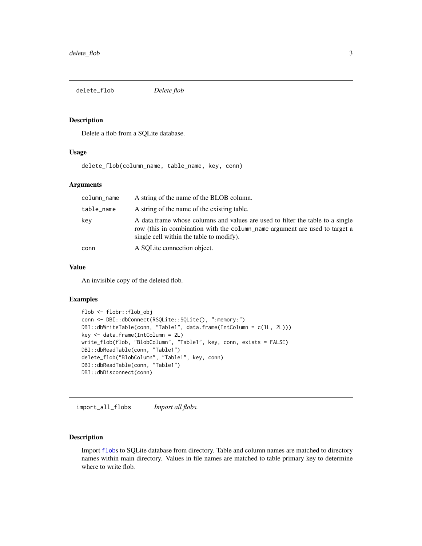<span id="page-2-0"></span>delete\_flob *Delete flob*

#### Description

Delete a flob from a SQLite database.

#### Usage

delete\_flob(column\_name, table\_name, key, conn)

#### Arguments

| column_name | A string of the name of the BLOB column.                                                                                                                                                                  |
|-------------|-----------------------------------------------------------------------------------------------------------------------------------------------------------------------------------------------------------|
| table_name  | A string of the name of the existing table.                                                                                                                                                               |
| key         | A data frame whose columns and values are used to filter the table to a single<br>row (this in combination with the column name argument are used to target a<br>single cell within the table to modify). |
| conn        | A SQLite connection object.                                                                                                                                                                               |

#### Value

An invisible copy of the deleted flob.

#### Examples

```
flob <- flobr::flob_obj
conn <- DBI::dbConnect(RSQLite::SQLite(), ":memory:")
DBI::dbWriteTable(conn, "Table1", data.frame(IntColumn = c(1L, 2L)))
key <- data.frame(IntColumn = 2L)
write_flob(flob, "BlobColumn", "Table1", key, conn, exists = FALSE)
DBI::dbReadTable(conn, "Table1")
delete_flob("BlobColumn", "Table1", key, conn)
DBI::dbReadTable(conn, "Table1")
DBI::dbDisconnect(conn)
```
import\_all\_flobs *Import all flobs.*

#### Description

Import [flob](#page-0-0)s to SQLite database from directory. Table and column names are matched to directory names within main directory. Values in file names are matched to table primary key to determine where to write flob.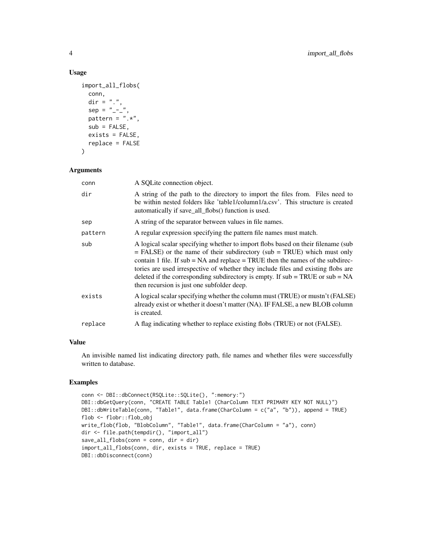#### Usage

```
import_all_flobs(
 conn,
 \text{dir} = "."sep = "-----".pattern = ".*",
 sub = FALSE,exists = FALSE,
 replace = FALSE
)
```
#### Arguments

| conn    | A SQLite connection object.                                                                                                                                                                                                                                                                                                                                                                                                                                                   |
|---------|-------------------------------------------------------------------------------------------------------------------------------------------------------------------------------------------------------------------------------------------------------------------------------------------------------------------------------------------------------------------------------------------------------------------------------------------------------------------------------|
| dir     | A string of the path to the directory to import the files from. Files need to<br>be within nested folders like 'table1/column1/a.csv'. This structure is created<br>automatically if save_all_flobs() function is used.                                                                                                                                                                                                                                                       |
| sep     | A string of the separator between values in file names.                                                                                                                                                                                                                                                                                                                                                                                                                       |
| pattern | A regular expression specifying the pattern file names must match.                                                                                                                                                                                                                                                                                                                                                                                                            |
| sub     | A logical scalar specifying whether to import flobs based on their filename (sub<br>$=$ FALSE) or the name of their subdirectory (sub $=$ TRUE) which must only<br>contain 1 file. If $sub = NA$ and replace $= TRUE$ then the names of the subdirec-<br>tories are used irrespective of whether they include files and existing flobs are<br>deleted if the corresponding subdirectory is empty. If $sub = TRUE$ or $sub = NA$<br>then recursion is just one subfolder deep. |
| exists  | A logical scalar specifying whether the column must (TRUE) or mustn't (FALSE)<br>already exist or whether it doesn't matter (NA). IF FALSE, a new BLOB column<br>is created.                                                                                                                                                                                                                                                                                                  |
| replace | A flag indicating whether to replace existing flobs (TRUE) or not (FALSE).                                                                                                                                                                                                                                                                                                                                                                                                    |
|         |                                                                                                                                                                                                                                                                                                                                                                                                                                                                               |

#### Value

An invisible named list indicating directory path, file names and whether files were successfully written to database.

#### Examples

```
conn <- DBI::dbConnect(RSQLite::SQLite(), ":memory:")
DBI::dbGetQuery(conn, "CREATE TABLE Table1 (CharColumn TEXT PRIMARY KEY NOT NULL)")
DBI::dbWriteTable(conn, "Table1", data.frame(CharColumn = c("a", "b")), append = TRUE)
flob <- flobr::flob_obj
write_flob(flob, "BlobColumn", "Table1", data.frame(CharColumn = "a"), conn)
dir <- file.path(tempdir(), "import_all")
save_all_flobs(conn = conn, dir = dir)
import_all_flobs(conn, dir, exists = TRUE, replace = TRUE)
DBI::dbDisconnect(conn)
```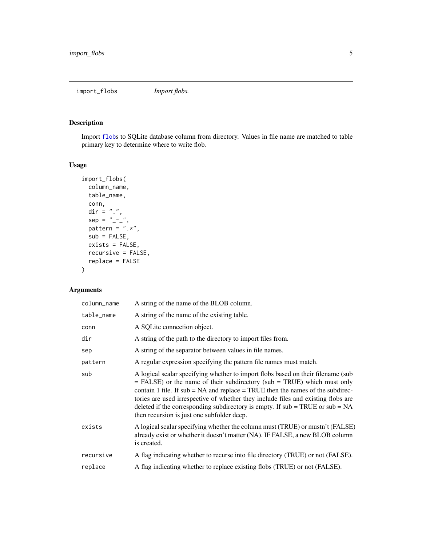<span id="page-4-0"></span>import\_flobs *Import flobs.*

#### Description

Import [flob](#page-0-0)s to SQLite database column from directory. Values in file name are matched to table primary key to determine where to write flob.

#### Usage

```
import_flobs(
 column_name,
 table_name,
 conn,
 dir = ".".sep = " - -".pattern = ".*",sub = FALSE,exists = FALSE,
 recursive = FALSE,
  replace = FALSE
)
```
#### Arguments

| column_name | A string of the name of the BLOB column.                                                                                                                                                                                                                                                                                                                                                                                                                                      |
|-------------|-------------------------------------------------------------------------------------------------------------------------------------------------------------------------------------------------------------------------------------------------------------------------------------------------------------------------------------------------------------------------------------------------------------------------------------------------------------------------------|
| table_name  | A string of the name of the existing table.                                                                                                                                                                                                                                                                                                                                                                                                                                   |
| conn        | A SQLite connection object.                                                                                                                                                                                                                                                                                                                                                                                                                                                   |
| dir         | A string of the path to the directory to import files from.                                                                                                                                                                                                                                                                                                                                                                                                                   |
| sep         | A string of the separator between values in file names.                                                                                                                                                                                                                                                                                                                                                                                                                       |
| pattern     | A regular expression specifying the pattern file names must match.                                                                                                                                                                                                                                                                                                                                                                                                            |
| sub         | A logical scalar specifying whether to import flobs based on their filename (sub<br>$=$ FALSE) or the name of their subdirectory (sub $=$ TRUE) which must only<br>contain 1 file. If $sub = NA$ and replace $= TRUE$ then the names of the subdirec-<br>tories are used irrespective of whether they include files and existing flobs are<br>deleted if the corresponding subdirectory is empty. If $sub = TRUE$ or $sub = NA$<br>then recursion is just one subfolder deep. |
| exists      | A logical scalar specifying whether the column must (TRUE) or mustn't (FALSE)<br>already exist or whether it doesn't matter (NA). IF FALSE, a new BLOB column<br>is created.                                                                                                                                                                                                                                                                                                  |
| recursive   | A flag indicating whether to recurse into file directory (TRUE) or not (FALSE).                                                                                                                                                                                                                                                                                                                                                                                               |
| replace     | A flag indicating whether to replace existing flobs (TRUE) or not (FALSE).                                                                                                                                                                                                                                                                                                                                                                                                    |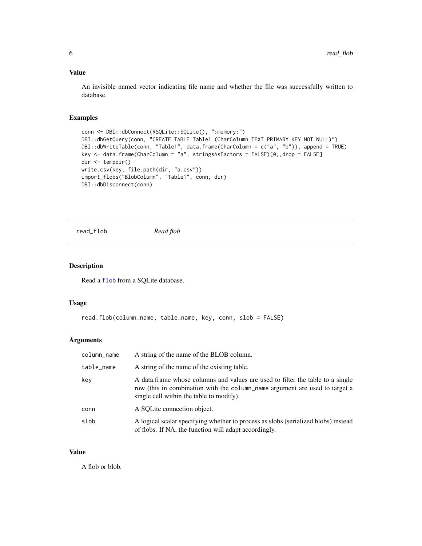#### <span id="page-5-0"></span>Value

An invisible named vector indicating file name and whether the file was successfully written to database.

#### Examples

```
conn <- DBI::dbConnect(RSQLite::SQLite(), ":memory:")
DBI::dbGetQuery(conn, "CREATE TABLE Table1 (CharColumn TEXT PRIMARY KEY NOT NULL)")
DBI::dbWriteTable(conn, "Table1", data.frame(CharColumn = c("a", "b")), append = TRUE)
key <- data.frame(CharColumn = "a", stringsAsFactors = FALSE)[0,,drop = FALSE]
dir <- tempdir()
write.csv(key, file.path(dir, "a.csv"))
import_flobs("BlobColumn", "Table1", conn, dir)
DBI::dbDisconnect(conn)
```
read\_flob *Read flob*

#### Description

Read a [flob](#page-0-0) from a SQLite database.

#### Usage

```
read_flob(column_name, table_name, key, conn, slob = FALSE)
```
#### Arguments

| column_name | A string of the name of the BLOB column.                                                                                                                                                                  |
|-------------|-----------------------------------------------------------------------------------------------------------------------------------------------------------------------------------------------------------|
| table_name  | A string of the name of the existing table.                                                                                                                                                               |
| key         | A data frame whose columns and values are used to filter the table to a single<br>row (this in combination with the column_name argument are used to target a<br>single cell within the table to modify). |
| conn        | A SOLite connection object.                                                                                                                                                                               |
| slob        | A logical scalar specifying whether to process as slobs (serialized blobs) instead<br>of flobs. If NA, the function will adapt accordingly.                                                               |

#### Value

A flob or blob.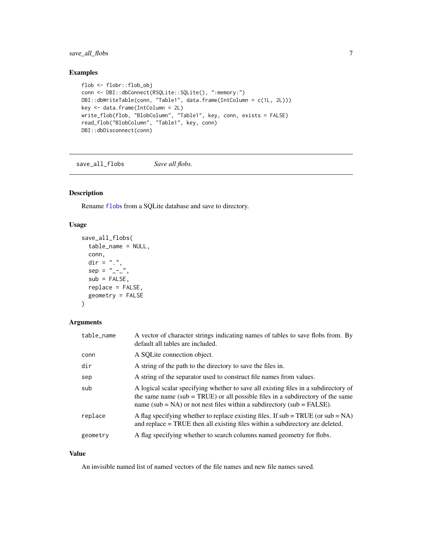<span id="page-6-0"></span>save\_all\_flobs 7

#### Examples

```
flob <- flobr::flob_obj
conn <- DBI::dbConnect(RSQLite::SQLite(), ":memory:")
DBI::dbWriteTable(conn, "Table1", data.frame(IntColumn = c(1L, 2L)))
key <- data.frame(IntColumn = 2L)
write_flob(flob, "BlobColumn", "Table1", key, conn, exists = FALSE)
read_flob("BlobColumn", "Table1", key, conn)
DBI::dbDisconnect(conn)
```
save\_all\_flobs *Save all flobs.*

#### Description

Rename [flob](#page-0-0)s from a SQLite database and save to directory.

#### Usage

```
save_all_flobs(
  table_name = NULL,
  conn,
  \text{dir} = "."sep = "-----".sub = FALSE,
  replace = FALSE,
  geometry = FALSE
)
```
#### Arguments

| table_name | A vector of character strings indicating names of tables to save flobs from. By<br>default all tables are included.                                                                                                                                   |
|------------|-------------------------------------------------------------------------------------------------------------------------------------------------------------------------------------------------------------------------------------------------------|
| conn       | A SOLite connection object.                                                                                                                                                                                                                           |
| dir        | A string of the path to the directory to save the files in.                                                                                                                                                                                           |
| sep        | A string of the separator used to construct file names from values.                                                                                                                                                                                   |
| sub        | A logical scalar specifying whether to save all existing files in a subdirectory of<br>the same name (sub = TRUE) or all possible files in a subdirectory of the same<br>name (sub = $NA$ ) or not nest files within a subdirectory (sub = $FALSE$ ). |
| replace    | A flag specifying whether to replace existing files. If $sub = TRUE$ (or $sub = NA$ )<br>and replace = TRUE then all existing files within a subdirectory are deleted.                                                                                |
| geometry   | A flag specifying whether to search columns named geometry for flobs.                                                                                                                                                                                 |

#### Value

An invisible named list of named vectors of the file names and new file names saved.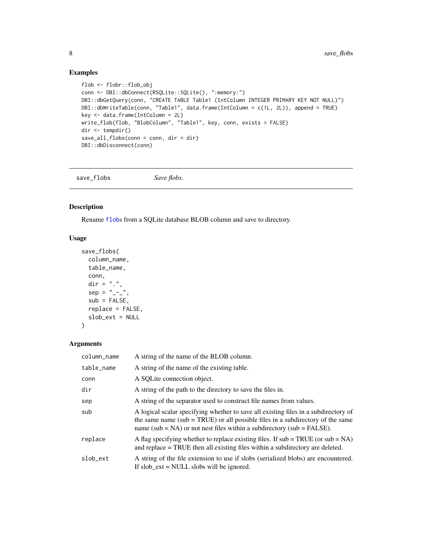#### Examples

```
flob <- flobr::flob_obj
conn <- DBI::dbConnect(RSQLite::SQLite(), ":memory:")
DBI::dbGetQuery(conn, "CREATE TABLE Table1 (IntColumn INTEGER PRIMARY KEY NOT NULL)")
DBI::dbWriteTable(conn, "Table1", data.frame(IntColumn = c(1L, 2L)), append = TRUE)
key <- data.frame(IntColumn = 2L)
write_flob(flob, "BlobColumn", "Table1", key, conn, exists = FALSE)
dir <- tempdir()
save_all_flobs(conn = conn, dir = dir)
DBI::dbDisconnect(conn)
```
save\_flobs *Save flobs.* 

#### Description

Rename [flob](#page-0-0)s from a SQLite database BLOB column and save to directory.

#### Usage

```
save_flobs(
  column_name,
  table_name,
  conn,
  \text{dir} = "."sep = "-----".sub = FALSE,replace = FALSE,
  slob_ext = NULL
)
```
#### Arguments

| column_name | A string of the name of the BLOB column.                                                                                                                                                                                                              |
|-------------|-------------------------------------------------------------------------------------------------------------------------------------------------------------------------------------------------------------------------------------------------------|
| table_name  | A string of the name of the existing table.                                                                                                                                                                                                           |
| conn        | A SQLite connection object.                                                                                                                                                                                                                           |
| dir         | A string of the path to the directory to save the files in.                                                                                                                                                                                           |
| sep         | A string of the separator used to construct file names from values.                                                                                                                                                                                   |
| sub         | A logical scalar specifying whether to save all existing files in a subdirectory of<br>the same name (sub = TRUE) or all possible files in a subdirectory of the same<br>name (sub = $NA$ ) or not nest files within a subdirectory (sub = $FALSE$ ). |
| replace     | A flag specifying whether to replace existing files. If $sub = TRUE$ (or $sub = NA$ )<br>and replace = TRUE then all existing files within a subdirectory are deleted.                                                                                |
| slob ext    | A string of the file extension to use if slobs (serialized blobs) are encountered.<br>If slob $ext = NULL$ slobs will be ignored.                                                                                                                     |

<span id="page-7-0"></span>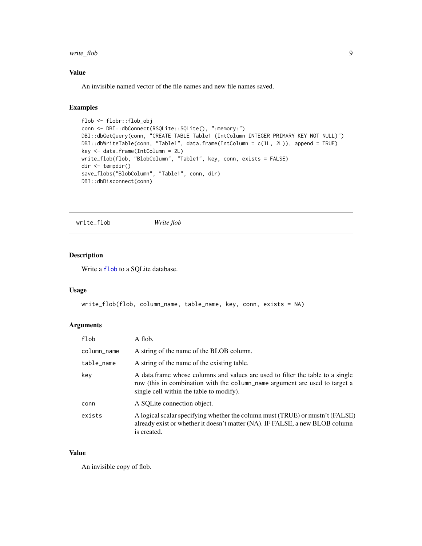#### <span id="page-8-0"></span>write\_flob 9

#### Value

An invisible named vector of the file names and new file names saved.

#### Examples

```
flob <- flobr::flob_obj
conn <- DBI::dbConnect(RSQLite::SQLite(), ":memory:")
DBI::dbGetQuery(conn, "CREATE TABLE Table1 (IntColumn INTEGER PRIMARY KEY NOT NULL)")
DBI::dbWriteTable(conn, "Table1", data.frame(IntColumn = c(1L, 2L)), append = TRUE)
key <- data.frame(IntColumn = 2L)
write_flob(flob, "BlobColumn", "Table1", key, conn, exists = FALSE)
dir <- tempdir()
save_flobs("BlobColumn", "Table1", conn, dir)
DBI::dbDisconnect(conn)
```
write\_flob *Write flob*

#### Description

Write a [flob](#page-0-0) to a SQLite database.

#### Usage

```
write_flob(flob, column_name, table_name, key, conn, exists = NA)
```
#### Arguments

| flob        | A flob.                                                                                                                                                                                                   |
|-------------|-----------------------------------------------------------------------------------------------------------------------------------------------------------------------------------------------------------|
| column_name | A string of the name of the BLOB column.                                                                                                                                                                  |
| table_name  | A string of the name of the existing table.                                                                                                                                                               |
| key         | A data frame whose columns and values are used to filter the table to a single<br>row (this in combination with the column name argument are used to target a<br>single cell within the table to modify). |
| conn        | A SOLite connection object.                                                                                                                                                                               |
| exists      | A logical scalar specifying whether the column must (TRUE) or mustn't (FALSE)<br>already exist or whether it doesn't matter (NA). IF FALSE, a new BLOB column<br>is created.                              |

#### Value

An invisible copy of flob.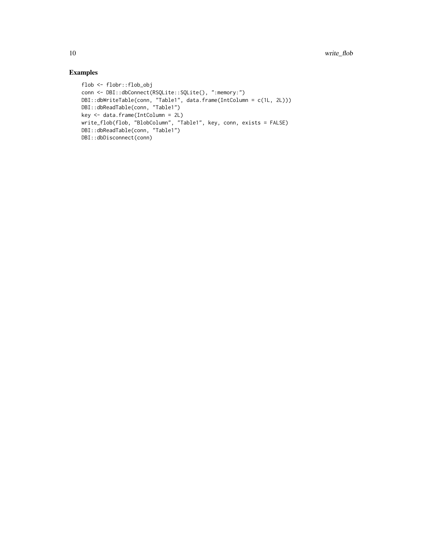#### Examples

```
flob <- flobr::flob_obj
conn <- DBI::dbConnect(RSQLite::SQLite(), ":memory:")
DBI::dbWriteTable(conn, "Table1", data.frame(IntColumn = c(1L, 2L)))
DBI::dbReadTable(conn, "Table1")
key <- data.frame(IntColumn = 2L)
write_flob(flob, "BlobColumn", "Table1", key, conn, exists = FALSE)
DBI::dbReadTable(conn, "Table1")
DBI::dbDisconnect(conn)
```